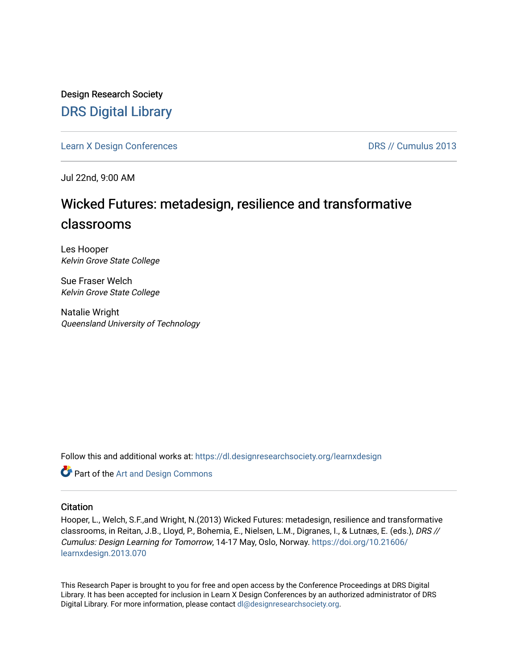Design Research Society [DRS Digital Library](https://dl.designresearchsociety.org/)

[Learn X Design Conferences](https://dl.designresearchsociety.org/learnxdesign) **DRS // Cumulus 2013** 

Jul 22nd, 9:00 AM

# Wicked Futures: metadesign, resilience and transformative classrooms

Les Hooper Kelvin Grove State College

Sue Fraser Welch Kelvin Grove State College

Natalie Wright Queensland University of Technology

Follow this and additional works at: [https://dl.designresearchsociety.org/learnxdesign](https://dl.designresearchsociety.org/learnxdesign?utm_source=dl.designresearchsociety.org%2Flearnxdesign%2Flearnxdesign2013%2Fresearchpapers%2F69&utm_medium=PDF&utm_campaign=PDFCoverPages)

Part of the [Art and Design Commons](http://network.bepress.com/hgg/discipline/1049?utm_source=dl.designresearchsociety.org%2Flearnxdesign%2Flearnxdesign2013%2Fresearchpapers%2F69&utm_medium=PDF&utm_campaign=PDFCoverPages)

## **Citation**

Hooper, L., Welch, S.F.,and Wright, N.(2013) Wicked Futures: metadesign, resilience and transformative classrooms, in Reitan, J.B., Lloyd, P., Bohemia, E., Nielsen, L.M., Digranes, I., & Lutnæs, E. (eds.), DRS // Cumulus: Design Learning for Tomorrow, 14-17 May, Oslo, Norway. [https://doi.org/10.21606/](https://doi.org/10.21606/learnxdesign.2013.070) [learnxdesign.2013.070](https://doi.org/10.21606/learnxdesign.2013.070)

This Research Paper is brought to you for free and open access by the Conference Proceedings at DRS Digital Library. It has been accepted for inclusion in Learn X Design Conferences by an authorized administrator of DRS Digital Library. For more information, please contact [dl@designresearchsociety.org](mailto:dl@designresearchsociety.org).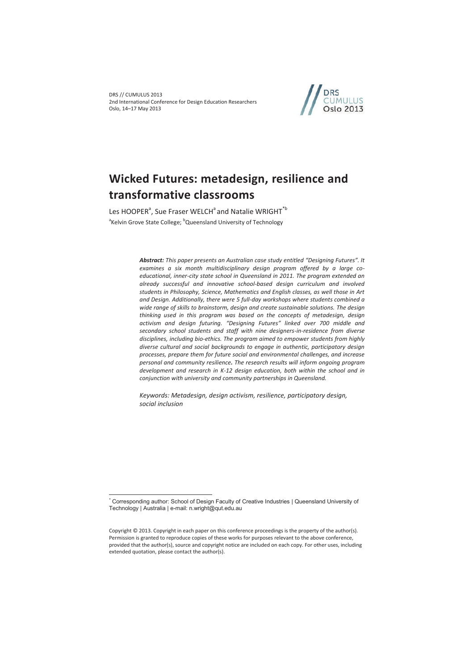

# **Wicked Futures: metadesign, resilience and transformative classrooms**

Les HOOPER<sup>a</sup>, Sue Fraser WELCH<sup>a</sup> and Natalie WRIGHT<sup>\*b</sup> <sup>a</sup>Kelvin Grove State College; <sup>b</sup>Queensland University of Technology

> *Abstract: This paper presents an Australian case study entitled "Designing Futures". It examines a six month multidisciplinary design program offered by a large coeducational, inner-city state school in Queensland in 2011. The program extended an already successful and innovative school-based design curriculum and involved students in Philosophy, Science, Mathematics and English classes, as well those in Art and Design. Additionally, there were 5 full-day workshops where students combined a wide range of skills to brainstorm, design and create sustainable solutions. The design thinking used in this program was based on the concepts of metadesign, design activism and design futuring. "Designing Futures" linked over 700 middle and secondary school students and staff with nine designers-in-residence from diverse disciplines, including bio-ethics. The program aimed to empower students from highly diverse cultural and social backgrounds to engage in authentic, participatory design processes, prepare them for future social and environmental challenges, and increase personal and community resilience. The research results will inform ongoing program development and research in K-12 design education, both within the school and in conjunction with university and community partnerships in Queensland.*

*Keywords: Metadesign, design activism, resilience, participatory design, social inclusion* 

 $\overline{a}$ \* Corresponding author: School of Design Faculty of Creative Industries | Queensland University of Technology | Australia | e-mail: n.wright@qut.edu.au

Copyright © 2013. Copyright in each paper on this conference proceedings is the property of the author(s). Permission is granted to reproduce copies of these works for purposes relevant to the above conference, provided that the author(s), source and copyright notice are included on each copy. For other uses, including extended quotation, please contact the author(s).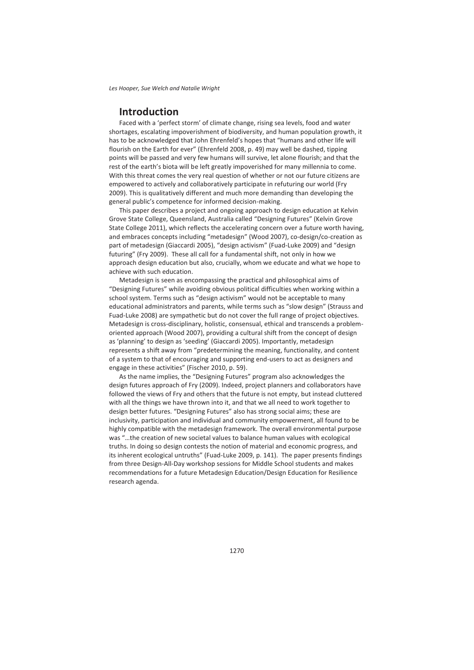## **Introduction**

Faced with a 'perfect storm' of climate change, rising sea levels, food and water shortages, escalating impoverishment of biodiversity, and human population growth, it has to be acknowledged that John Ehrenfeld's hopes that "humans and other life will flourish on the Earth for ever" (Ehrenfeld 2008, p. 49) may well be dashed, tipping points will be passed and very few humans will survive, let alone flourish; and that the rest of the earth's biota will be left greatly impoverished for many millennia to come. With this threat comes the very real question of whether or not our future citizens are empowered to actively and collaboratively participate in refuturing our world (Fry 2009). This is qualitatively different and much more demanding than developing the general public's competence for informed decision-making.

This paper describes a project and ongoing approach to design education at Kelvin Grove State College, Queensland, Australia called "Designing Futures" (Kelvin Grove State College 2011), which reflects the accelerating concern over a future worth having, and embraces concepts including "metadesign" (Wood 2007), co-design/co-creation as part of metadesign (Giaccardi 2005), "design activism" (Fuad-Luke 2009) and "design futuring" (Fry 2009). These all call for a fundamental shift, not only in how we approach design education but also, crucially, whom we educate and what we hope to achieve with such education.

Metadesign is seen as encompassing the practical and philosophical aims of "Designing Futures" while avoiding obvious political difficulties when working within a school system. Terms such as "design activism" would not be acceptable to many educational administrators and parents, while terms such as "slow design" (Strauss and Fuad-Luke 2008) are sympathetic but do not cover the full range of project objectives. Metadesign is cross-disciplinary, holistic, consensual, ethical and transcends a problemoriented approach (Wood 2007), providing a cultural shift from the concept of design as 'planning' to design as 'seeding' (Giaccardi 2005). Importantly, metadesign represents a shift away from "predetermining the meaning, functionality, and content of a system to that of encouraging and supporting end-users to act as designers and engage in these activities" (Fischer 2010, p. 59).

As the name implies, the "Designing Futures" program also acknowledges the design futures approach of Fry (2009). Indeed, project planners and collaborators have followed the views of Fry and others that the future is not empty, but instead cluttered with all the things we have thrown into it, and that we all need to work together to design better futures. "Designing Futures" also has strong social aims; these are inclusivity, participation and individual and community empowerment, all found to be highly compatible with the metadesign framework. The overall environmental purpose was "…the creation of new societal values to balance human values with ecological truths. In doing so design contests the notion of material and economic progress, and its inherent ecological untruths" (Fuad-Luke 2009, p. 141). The paper presents findings from three Design-All-Day workshop sessions for Middle School students and makes recommendations for a future Metadesign Education/Design Education for Resilience research agenda.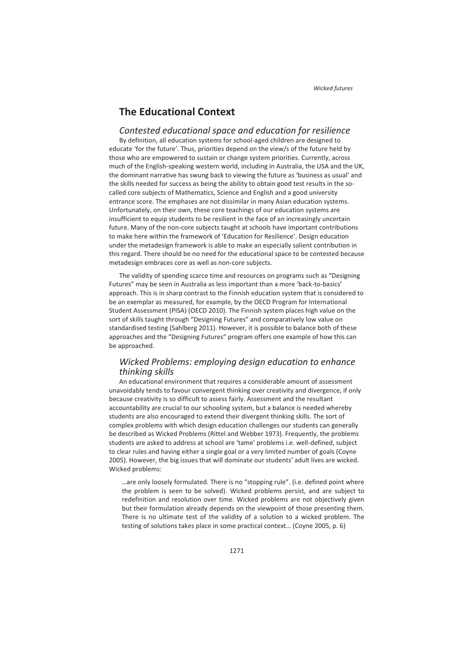## **The Educational Context**

### *Contested educational space and education for resilience*

By definition, all education systems for school-aged children are designed to educate 'for the future'. Thus, priorities depend on the view/s of the future held by those who are empowered to sustain or change system priorities. Currently, across much of the English-speaking western world, including in Australia, the USA and the UK, the dominant narrative has swung back to viewing the future as 'business as usual' and the skills needed for success as being the ability to obtain good test results in the socalled core subjects of Mathematics, Science and English and a good university entrance score. The emphases are not dissimilar in many Asian education systems. Unfortunately, on their own, these core teachings of our education systems are insufficient to equip students to be resilient in the face of an increasingly uncertain future. Many of the non-core subjects taught at schools have important contributions to make here within the framework of 'Education for Resilience'. Design education under the metadesign framework is able to make an especially salient contribution in this regard. There should be no need for the educational space to be contested because metadesign embraces core as well as non-core subjects.

The validity of spending scarce time and resources on programs such as "Designing Futures" may be seen in Australia as less important than a more 'back-to-basics' approach. This is in sharp contrast to the Finnish education system that is considered to be an exemplar as measured, for example, by the OECD Program for International Student Assessment (PISA) (OECD 2010). The Finnish system places high value on the sort of skills taught through "Designing Futures" and comparatively low value on standardised testing (Sahlberg 2011). However, it is possible to balance both of these approaches and the "Designing Futures" program offers one example of how this can be approached.

## *Wicked Problems: employing design education to enhance thinking skills*

An educational environment that requires a considerable amount of assessment unavoidably tends to favour convergent thinking over creativity and divergence, if only because creativity is so difficult to assess fairly. Assessment and the resultant accountability are crucial to our schooling system, but a balance is needed whereby students are also encouraged to extend their divergent thinking skills. The sort of complex problems with which design education challenges our students can generally be described as Wicked Problems (Rittel and Webber 1973). Frequently, the problems students are asked to address at school are 'tame' problems i.e. well-defined, subject to clear rules and having either a single goal or a very limited number of goals (Coyne 2005). However, the big issues that will dominate our students' adult lives are wicked. Wicked problems:

…are only loosely formulated. There is no "stopping rule". (i.e. defined point where the problem is seen to be solved). Wicked problems persist, and are subject to redefinition and resolution over time. Wicked problems are not objectively given but their formulation already depends on the viewpoint of those presenting them. There is no ultimate test of the validity of a solution to a wicked problem. The testing of solutions takes place in some practical context… (Coyne 2005, p. 6)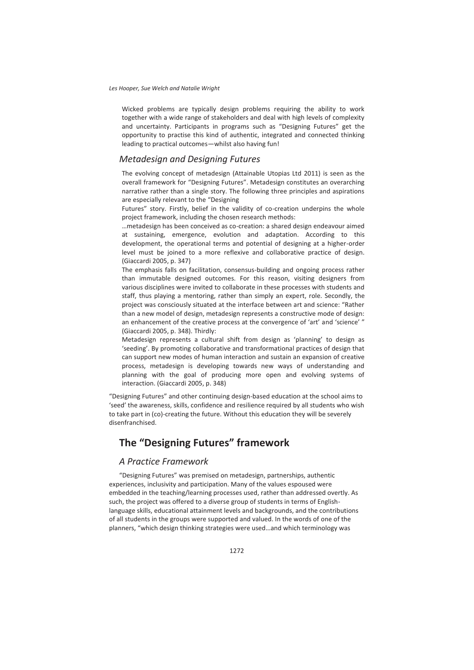Wicked problems are typically design problems requiring the ability to work together with a wide range of stakeholders and deal with high levels of complexity and uncertainty. Participants in programs such as "Designing Futures" get the opportunity to practise this kind of authentic, integrated and connected thinking leading to practical outcomes—whilst also having fun!

## *Metadesign and Designing Futures*

The evolving concept of metadesign (Attainable Utopias Ltd 2011) is seen as the overall framework for "Designing Futures". Metadesign constitutes an overarching narrative rather than a single story. The following three principles and aspirations are especially relevant to the "Designing

Futures" story. Firstly, belief in the validity of co-creation underpins the whole project framework, including the chosen research methods:

…metadesign has been conceived as co-creation: a shared design endeavour aimed at sustaining, emergence, evolution and adaptation. According to this development, the operational terms and potential of designing at a higher-order level must be joined to a more reflexive and collaborative practice of design. (Giaccardi 2005, p. 347)

The emphasis falls on facilitation, consensus-building and ongoing process rather than immutable designed outcomes. For this reason, visiting designers from various disciplines were invited to collaborate in these processes with students and staff, thus playing a mentoring, rather than simply an expert, role. Secondly, the project was consciously situated at the interface between art and science: "Rather than a new model of design, metadesign represents a constructive mode of design: an enhancement of the creative process at the convergence of 'art' and 'science' " (Giaccardi 2005, p. 348). Thirdly:

Metadesign represents a cultural shift from design as 'planning' to design as 'seeding'. By promoting collaborative and transformational practices of design that can support new modes of human interaction and sustain an expansion of creative process, metadesign is developing towards new ways of understanding and planning with the goal of producing more open and evolving systems of interaction. (Giaccardi 2005, p. 348)

"Designing Futures" and other continuing design-based education at the school aims to 'seed' the awareness, skills, confidence and resilience required by all students who wish to take part in (co)-creating the future. Without this education they will be severely disenfranchised.

## **The "Designing Futures" framework**

## *A Practice Framework*

"Designing Futures" was premised on metadesign, partnerships, authentic experiences, inclusivity and participation. Many of the values espoused were embedded in the teaching/learning processes used, rather than addressed overtly. As such, the project was offered to a diverse group of students in terms of Englishlanguage skills, educational attainment levels and backgrounds, and the contributions of all students in the groups were supported and valued. In the words of one of the planners, "which design thinking strategies were used…and which terminology was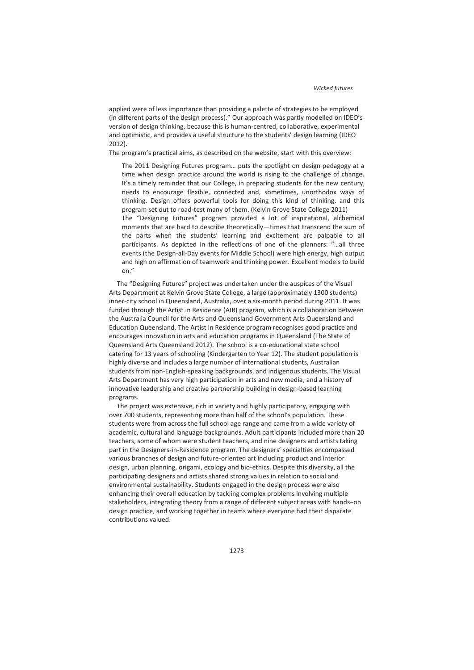applied were of less importance than providing a palette of strategies to be employed (in different parts of the design process)." Our approach was partly modelled on IDEO's version of design thinking, because this is human-centred, collaborative, experimental and optimistic, and provides a useful structure to the students' design learning (IDEO 2012).

The program's practical aims, as described on the website, start with this overview:

The 2011 Designing Futures program… puts the spotlight on design pedagogy at a time when design practice around the world is rising to the challenge of change. It's a timely reminder that our College, in preparing students for the new century, needs to encourage flexible, connected and, sometimes, unorthodox ways of thinking. Design offers powerful tools for doing this kind of thinking, and this program set out to road-test many of them. (Kelvin Grove State College 2011) The "Designing Futures" program provided a lot of inspirational, alchemical moments that are hard to describe theoretically—times that transcend the sum of the parts when the students' learning and excitement are palpable to all participants. As depicted in the reflections of one of the planners: "…all three events (the Design-all-Day events for Middle School) were high energy, high output and high on affirmation of teamwork and thinking power. Excellent models to build on."

The "Designing Futures" project was undertaken under the auspices of the Visual Arts Department at Kelvin Grove State College, a large (approximately 1300 students) inner-city school in Queensland, Australia, over a six-month period during 2011. It was funded through the Artist in Residence (AIR) program, which is a collaboration between the Australia Council for the Arts and Queensland Government Arts Queensland and Education Queensland. The Artist in Residence program recognises good practice and encourages innovation in arts and education programs in Queensland (The State of Queensland Arts Queensland 2012). The school is a co-educational state school catering for 13 years of schooling (Kindergarten to Year 12). The student population is highly diverse and includes a large number of international students, Australian students from non-English-speaking backgrounds, and indigenous students. The Visual Arts Department has very high participation in arts and new media, and a history of innovative leadership and creative partnership building in design-based learning programs.

The project was extensive, rich in variety and highly participatory, engaging with over 700 students, representing more than half of the school's population. These students were from across the full school age range and came from a wide variety of academic, cultural and language backgrounds. Adult participants included more than 20 teachers, some of whom were student teachers, and nine designers and artists taking part in the Designers-in-Residence program. The designers' specialties encompassed various branches of design and future-oriented art including product and interior design, urban planning, origami, ecology and bio-ethics. Despite this diversity, all the participating designers and artists shared strong values in relation to social and environmental sustainability. Students engaged in the design process were also enhancing their overall education by tackling complex problems involving multiple stakeholders, integrating theory from a range of different subject areas with hands–on design practice, and working together in teams where everyone had their disparate contributions valued.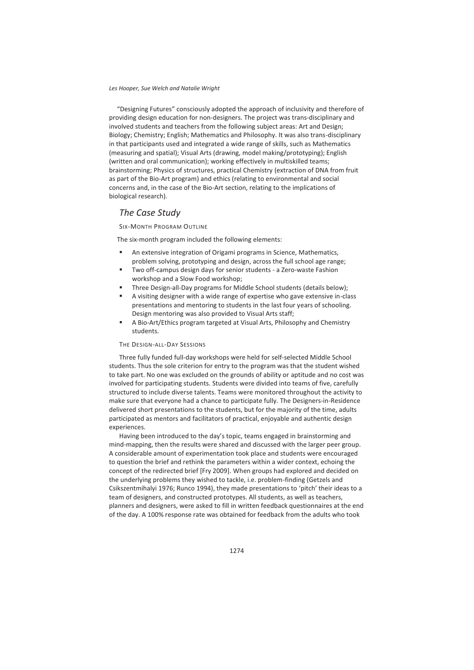"Designing Futures" consciously adopted the approach of inclusivity and therefore of providing design education for non-designers. The project was trans-disciplinary and involved students and teachers from the following subject areas: Art and Design; Biology; Chemistry; English; Mathematics and Philosophy. It was also trans-disciplinary in that participants used and integrated a wide range of skills, such as Mathematics (measuring and spatial); Visual Arts (drawing, model making/prototyping); English (written and oral communication); working effectively in multiskilled teams; brainstorming; Physics of structures, practical Chemistry (extraction of DNA from fruit as part of the Bio-Art program) and ethics (relating to environmental and social concerns and, in the case of the Bio-Art section, relating to the implications of biological research).

## *The Case Study*

SIX-MONTH PROGRAM OUTLINE

The six-month program included the following elements:

- An extensive integration of Origami programs in Science, Mathematics, problem solving, prototyping and design, across the full school age range;
- Two off-campus design days for senior students a Zero-waste Fashion workshop and a Slow Food workshop;
- Three Design-all-Day programs for Middle School students (details below);
- A visiting designer with a wide range of expertise who gave extensive in-class presentations and mentoring to students in the last four years of schooling. Design mentoring was also provided to Visual Arts staff;
- A Bio-Art/Ethics program targeted at Visual Arts, Philosophy and Chemistry students.

#### THE DESIGN-ALL-DAY SESSIONS

Three fully funded full-day workshops were held for self-selected Middle School students. Thus the sole criterion for entry to the program was that the student wished to take part. No one was excluded on the grounds of ability or aptitude and no cost was involved for participating students. Students were divided into teams of five, carefully structured to include diverse talents. Teams were monitored throughout the activity to make sure that everyone had a chance to participate fully. The Designers-in-Residence delivered short presentations to the students, but for the majority of the time, adults participated as mentors and facilitators of practical, enjoyable and authentic design experiences.

Having been introduced to the day's topic, teams engaged in brainstorming and mind-mapping, then the results were shared and discussed with the larger peer group. A considerable amount of experimentation took place and students were encouraged to question the brief and rethink the parameters within a wider context, echoing the concept of the redirected brief [Fry 2009]. When groups had explored and decided on the underlying problems they wished to tackle, i.e. problem-finding (Getzels and Csikszentmihalyi 1976; Runco 1994), they made presentations to 'pitch' their ideas to a team of designers, and constructed prototypes. All students, as well as teachers, planners and designers, were asked to fill in written feedback questionnaires at the end of the day. A 100% response rate was obtained for feedback from the adults who took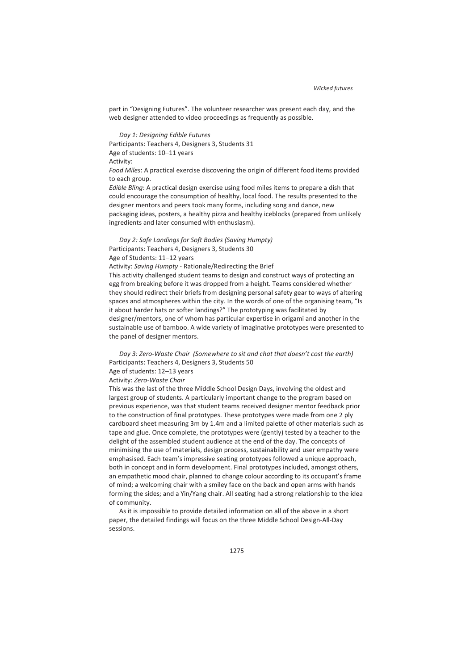part in "Designing Futures". The volunteer researcher was present each day, and the web designer attended to video proceedings as frequently as possible.

*Day 1: Designing Edible Futures*  Participants: Teachers 4, Designers 3, Students 31 Age of students: 10–11 years Activity: *Food Miles*: A practical exercise discovering the origin of different food items provided

to each group.

*Edible Bling*: A practical design exercise using food miles items to prepare a dish that could encourage the consumption of healthy, local food. The results presented to the designer mentors and peers took many forms, including song and dance, new packaging ideas, posters, a healthy pizza and healthy iceblocks (prepared from unlikely ingredients and later consumed with enthusiasm).

*Day 2: Safe Landings for Soft Bodies (Saving Humpty)*  Participants: Teachers 4, Designers 3, Students 30 Age of Students: 11–12 years

Activity: *Saving Humpty* - Rationale/Redirecting the Brief

This activity challenged student teams to design and construct ways of protecting an egg from breaking before it was dropped from a height. Teams considered whether they should redirect their briefs from designing personal safety gear to ways of altering spaces and atmospheres within the city. In the words of one of the organising team, "Is it about harder hats or softer landings?" The prototyping was facilitated by designer/mentors, one of whom has particular expertise in origami and another in the sustainable use of bamboo. A wide variety of imaginative prototypes were presented to the panel of designer mentors.

*Day 3: Zero-Waste Chair (Somewhere to sit and chat that doesn't cost the earth)*  Participants: Teachers 4, Designers 3, Students 50 Age of students: 12–13 years

Activity: *Zero-Waste Chair*

This was the last of the three Middle School Design Days, involving the oldest and largest group of students. A particularly important change to the program based on previous experience, was that student teams received designer mentor feedback prior to the construction of final prototypes. These prototypes were made from one 2 ply cardboard sheet measuring 3m by 1.4m and a limited palette of other materials such as tape and glue. Once complete, the prototypes were (gently) tested by a teacher to the delight of the assembled student audience at the end of the day. The concepts of minimising the use of materials, design process, sustainability and user empathy were emphasised. Each team's impressive seating prototypes followed a unique approach, both in concept and in form development. Final prototypes included, amongst others, an empathetic mood chair, planned to change colour according to its occupant's frame of mind; a welcoming chair with a smiley face on the back and open arms with hands forming the sides; and a Yin/Yang chair. All seating had a strong relationship to the idea of community.

As it is impossible to provide detailed information on all of the above in a short paper, the detailed findings will focus on the three Middle School Design-All-Day sessions.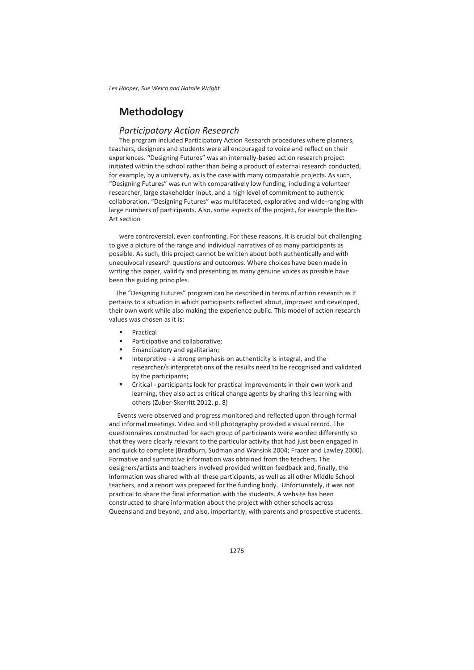*Les Hooper, Sue Welch and Natalie Wright*

# **Methodology**

## *Participatory Action Research*

The program included Participatory Action Research procedures where planners, teachers, designers and students were all encouraged to voice and reflect on their experiences. "Designing Futures" was an internally-based action research project initiated within the school rather than being a product of external research conducted, for example, by a university, as is the case with many comparable projects. As such, "Designing Futures" was run with comparatively low funding, including a volunteer researcher, large stakeholder input, and a high level of commitment to authentic collaboration. "Designing Futures" was multifaceted, explorative and wide-ranging with large numbers of participants. Also, some aspects of the project, for example the Bio-Art section

were controversial, even confronting. For these reasons, it is crucial but challenging to give a picture of the range and individual narratives of as many participants as possible. As such, this project cannot be written about both authentically and with unequivocal research questions and outcomes. Where choices have been made in writing this paper, validity and presenting as many genuine voices as possible have been the guiding principles.

 The "Designing Futures" program can be described in terms of action research as it pertains to a situation in which participants reflected about, improved and developed, their own work while also making the experience public. This model of action research values was chosen as it is:

- **Practical**
- Participative and collaborative;
- Emancipatory and egalitarian;
- Interpretive a strong emphasis on authenticity is integral, and the researcher/s interpretations of the results need to be recognised and validated by the participants;
- Critical participants look for practical improvements in their own work and learning, they also act as critical change agents by sharing this learning with others (Zuber-Skerritt 2012, p. 8)

Events were observed and progress monitored and reflected upon through formal and informal meetings. Video and still photography provided a visual record. The questionnaires constructed for each group of participants were worded differently so that they were clearly relevant to the particular activity that had just been engaged in and quick to complete (Bradburn, Sudman and Wansink 2004; Frazer and Lawley 2000). Formative and summative information was obtained from the teachers. The designers/artists and teachers involved provided written feedback and, finally, the information was shared with all these participants, as well as all other Middle School teachers, and a report was prepared for the funding body. Unfortunately, it was not practical to share the final information with the students. A website has been constructed to share information about the project with other schools across Queensland and beyond, and also, importantly, with parents and prospective students.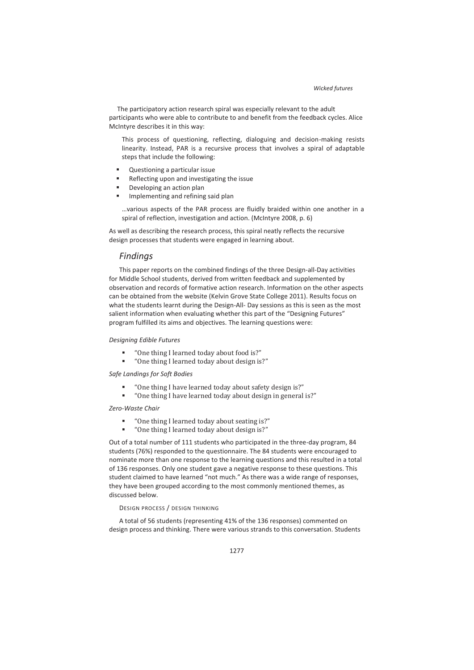The participatory action research spiral was especially relevant to the adult participants who were able to contribute to and benefit from the feedback cycles. Alice McIntyre describes it in this way:

This process of questioning, reflecting, dialoguing and decision-making resists linearity. Instead, PAR is a recursive process that involves a spiral of adaptable steps that include the following:

- Questioning a particular issue
- Reflecting upon and investigating the issue
- Developing an action plan
- Implementing and refining said plan

…various aspects of the PAR process are fluidly braided within one another in a spiral of reflection, investigation and action. (McIntyre 2008, p. 6)

As well as describing the research process, this spiral neatly reflects the recursive design processes that students were engaged in learning about.

### *Findings*

This paper reports on the combined findings of the three Design-all-Day activities for Middle School students, derived from written feedback and supplemented by observation and records of formative action research. Information on the other aspects can be obtained from the website (Kelvin Grove State College 2011). Results focus on what the students learnt during the Design-All- Day sessions as this is seen as the most salient information when evaluating whether this part of the "Designing Futures" program fulfilled its aims and objectives. The learning questions were:

#### *Designing Edible Futures*

- "One thing I learned today about food is?"
- "One thing I learned today about design is?"

### *Safe Landings for Soft Bodies*

- "One thing I have learned today about safety design is?"
- "One thing I have learned today about design in general is?"

#### *Zero-Waste Chair*

- "One thing I learned today about seating is?"
- "One thing I learned today about design is?"

Out of a total number of 111 students who participated in the three-day program, 84 students (76%) responded to the questionnaire. The 84 students were encouraged to nominate more than one response to the learning questions and this resulted in a total of 136 responses. Only one student gave a negative response to these questions. This student claimed to have learned "not much." As there was a wide range of responses, they have been grouped according to the most commonly mentioned themes, as discussed below.

#### DESIGN PROCESS / DESIGN THINKING

A total of 56 students (representing 41% of the 136 responses) commented on design process and thinking. There were various strands to this conversation. Students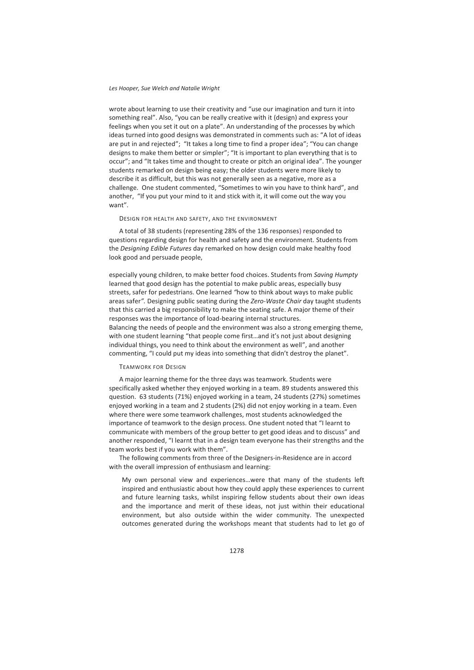#### *Les Hooper, Sue Welch and Natalie Wright*

wrote about learning to use their creativity and "use our imagination and turn it into something real". Also, "you can be really creative with it (design) and express your feelings when you set it out on a plate". An understanding of the processes by which ideas turned into good designs was demonstrated in comments such as: "A lot of ideas are put in and rejected"; "It takes a long time to find a proper idea"; "You can change designs to make them better or simpler"; "It is important to plan everything that is to occur"; and "It takes time and thought to create or pitch an original idea". The younger students remarked on design being easy; the older students were more likely to describe it as difficult, but this was not generally seen as a negative, more as a challenge. One student commented, "Sometimes to win you have to think hard", and another, "If you put your mind to it and stick with it, it will come out the way you want".

#### DESIGN FOR HEALTH AND SAFETY, AND THE ENVIRONMENT

A total of 38 students (representing 28% of the 136 responses) responded to questions regarding design for health and safety and the environment. Students from the *Designing Edible Futures* day remarked on how design could make healthy food look good and persuade people,

especially young children, to make better food choices. Students from *Saving Humpty* learned that good design has the potential to make public areas, especially busy streets, safer for pedestrians. One learned *"*how to think about ways to make public areas safer*".* Designing public seating during the *Zero-Waste Chair* day taught students that this carried a big responsibility to make the seating safe. A major theme of their responses was the importance of load-bearing internal structures. Balancing the needs of people and the environment was also a strong emerging theme, with one student learning "that people come first…and it's not just about designing individual things, you need to think about the environment as well", and another commenting, "I could put my ideas into something that didn't destroy the planet".

#### TEAMWORK FOR DESIGN

A major learning theme for the three days was teamwork. Students were specifically asked whether they enjoyed working in a team. 89 students answered this question. 63 students (71%) enjoyed working in a team, 24 students (27%) sometimes enjoyed working in a team and 2 students (2%) did not enjoy working in a team. Even where there were some teamwork challenges, most students acknowledged the importance of teamwork to the design process. One student noted that "I learnt to communicate with members of the group better to get good ideas and to discuss" and another responded, "I learnt that in a design team everyone has their strengths and the team works best if you work with them".

The following comments from three of the Designers-in-Residence are in accord with the overall impression of enthusiasm and learning:

My own personal view and experiences…were that many of the students left inspired and enthusiastic about how they could apply these experiences to current and future learning tasks, whilst inspiring fellow students about their own ideas and the importance and merit of these ideas, not just within their educational environment, but also outside within the wider community. The unexpected outcomes generated during the workshops meant that students had to let go of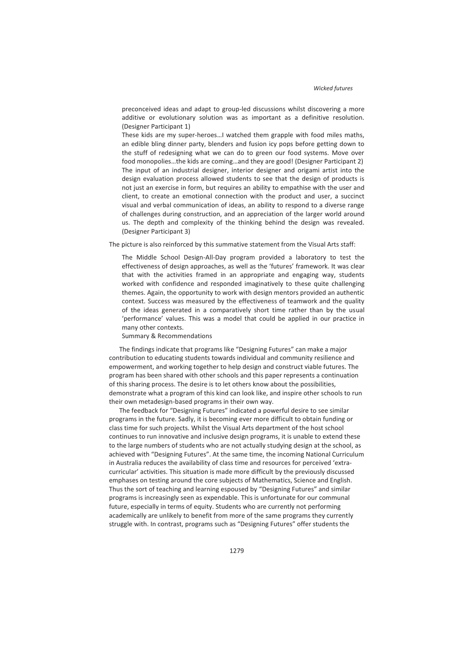preconceived ideas and adapt to group-led discussions whilst discovering a more additive or evolutionary solution was as important as a definitive resolution. (Designer Participant 1)

These kids are my super-heroes…I watched them grapple with food miles maths, an edible bling dinner party, blenders and fusion icy pops before getting down to the stuff of redesigning what we can do to green our food systems. Move over food monopolies…the kids are coming…and they are good! (Designer Participant 2) The input of an industrial designer, interior designer and origami artist into the design evaluation process allowed students to see that the design of products is not just an exercise in form, but requires an ability to empathise with the user and client, to create an emotional connection with the product and user, a succinct visual and verbal communication of ideas, an ability to respond to a diverse range of challenges during construction, and an appreciation of the larger world around us. The depth and complexity of the thinking behind the design was revealed. (Designer Participant 3)

The picture is also reinforced by this summative statement from the Visual Arts staff:

The Middle School Design-All-Day program provided a laboratory to test the effectiveness of design approaches, as well as the 'futures' framework. It was clear that with the activities framed in an appropriate and engaging way, students worked with confidence and responded imaginatively to these quite challenging themes. Again, the opportunity to work with design mentors provided an authentic context. Success was measured by the effectiveness of teamwork and the quality of the ideas generated in a comparatively short time rather than by the usual 'performance' values. This was a model that could be applied in our practice in many other contexts.

Summary & Recommendations

The findings indicate that programs like "Designing Futures" can make a major contribution to educating students towards individual and community resilience and empowerment, and working together to help design and construct viable futures. The program has been shared with other schools and this paper represents a continuation of this sharing process. The desire is to let others know about the possibilities, demonstrate what a program of this kind can look like, and inspire other schools to run their own metadesign-based programs in their own way.

The feedback for "Designing Futures" indicated a powerful desire to see similar programs in the future. Sadly, it is becoming ever more difficult to obtain funding or class time for such projects. Whilst the Visual Arts department of the host school continues to run innovative and inclusive design programs, it is unable to extend these to the large numbers of students who are not actually studying design at the school, as achieved with "Designing Futures". At the same time, the incoming National Curriculum in Australia reduces the availability of class time and resources for perceived 'extracurricular' activities. This situation is made more difficult by the previously discussed emphases on testing around the core subjects of Mathematics, Science and English. Thus the sort of teaching and learning espoused by "Designing Futures" and similar programs is increasingly seen as expendable. This is unfortunate for our communal future, especially in terms of equity. Students who are currently not performing academically are unlikely to benefit from more of the same programs they currently struggle with. In contrast, programs such as "Designing Futures" offer students the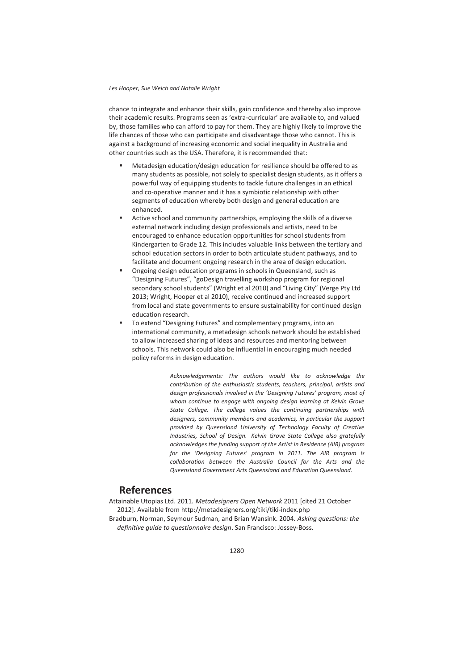#### *Les Hooper, Sue Welch and Natalie Wright*

chance to integrate and enhance their skills, gain confidence and thereby also improve their academic results. Programs seen as 'extra-curricular' are available to, and valued by, those families who can afford to pay for them. They are highly likely to improve the life chances of those who can participate and disadvantage those who cannot. This is against a background of increasing economic and social inequality in Australia and other countries such as the USA. Therefore, it is recommended that:

- Metadesign education/design education for resilience should be offered to as many students as possible, not solely to specialist design students, as it offers a powerful way of equipping students to tackle future challenges in an ethical and co-operative manner and it has a symbiotic relationship with other segments of education whereby both design and general education are enhanced.
- Active school and community partnerships, employing the skills of a diverse external network including design professionals and artists, need to be encouraged to enhance education opportunities for school students from Kindergarten to Grade 12. This includes valuable links between the tertiary and school education sectors in order to both articulate student pathways, and to facilitate and document ongoing research in the area of design education.
- Ongoing design education programs in schools in Queensland, such as "Designing Futures", "goDesign travelling workshop program for regional secondary school students" (Wright et al 2010) and "Living City" (Verge Pty Ltd 2013; Wright, Hooper et al 2010), receive continued and increased support from local and state governments to ensure sustainability for continued design education research.
- To extend "Designing Futures" and complementary programs, into an international community, a metadesign schools network should be established to allow increased sharing of ideas and resources and mentoring between schools. This network could also be influential in encouraging much needed policy reforms in design education.

*Acknowledgements: The authors would like to acknowledge the contribution of the enthusiastic students, teachers, principal, artists and design professionals involved in the 'Designing Futures' program, most of whom continue to engage with ongoing design learning at Kelvin Grove State College. The college values the continuing partnerships with designers, community members and academics, in particular the support provided by Queensland University of Technology Faculty of Creative Industries, School of Design. Kelvin Grove State College also gratefully acknowledges the funding support of the Artist in Residence (AIR) program for the 'Designing Futures' program in 2011. The AIR program is collaboration between the Australia Council for the Arts and the Queensland Government Arts Queensland and Education Queensland.*

## **References**

Attainable Utopias Ltd. 2011. *Metadesigners Open Network* 2011 [cited 21 October 2012]. Available from http://metadesigners.org/tiki/tiki-index.php Bradburn, Norman, Seymour Sudman, and Brian Wansink. 2004. *Asking questions: the definitive guide to questionnaire design*. San Francisco: Jossey-Boss.